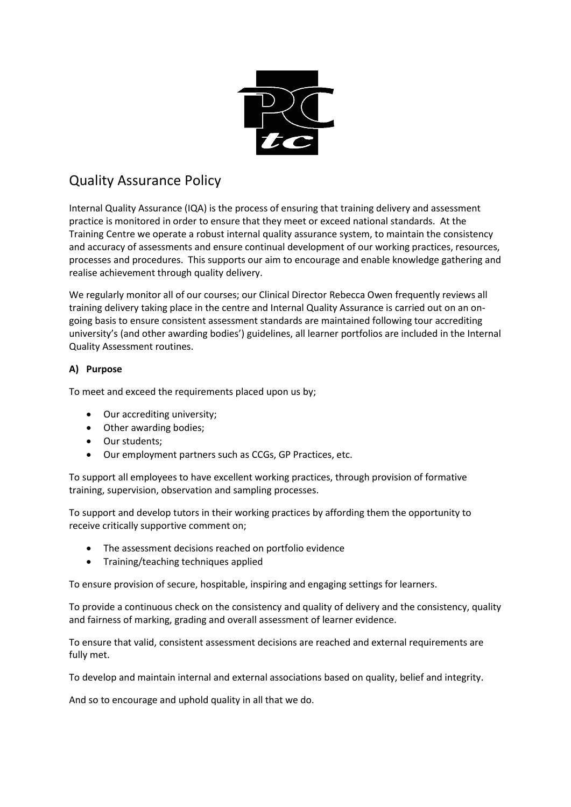

# Quality Assurance Policy

Internal Quality Assurance (IQA) is the process of ensuring that training delivery and assessment practice is monitored in order to ensure that they meet or exceed national standards. At the Training Centre we operate a robust internal quality assurance system, to maintain the consistency and accuracy of assessments and ensure continual development of our working practices, resources, processes and procedures. This supports our aim to encourage and enable knowledge gathering and realise achievement through quality delivery.

We regularly monitor all of our courses; our Clinical Director Rebecca Owen frequently reviews all training delivery taking place in the centre and Internal Quality Assurance is carried out on an ongoing basis to ensure consistent assessment standards are maintained following tour accrediting university's (and other awarding bodies') guidelines, all learner portfolios are included in the Internal Quality Assessment routines.

# **A) Purpose**

To meet and exceed the requirements placed upon us by;

- Our accrediting university;
- Other awarding bodies;
- Our students;
- Our employment partners such as CCGs, GP Practices, etc.

To support all employees to have excellent working practices, through provision of formative training, supervision, observation and sampling processes.

To support and develop tutors in their working practices by affording them the opportunity to receive critically supportive comment on;

- The assessment decisions reached on portfolio evidence
- Training/teaching techniques applied

To ensure provision of secure, hospitable, inspiring and engaging settings for learners.

To provide a continuous check on the consistency and quality of delivery and the consistency, quality and fairness of marking, grading and overall assessment of learner evidence.

To ensure that valid, consistent assessment decisions are reached and external requirements are fully met.

To develop and maintain internal and external associations based on quality, belief and integrity.

And so to encourage and uphold quality in all that we do.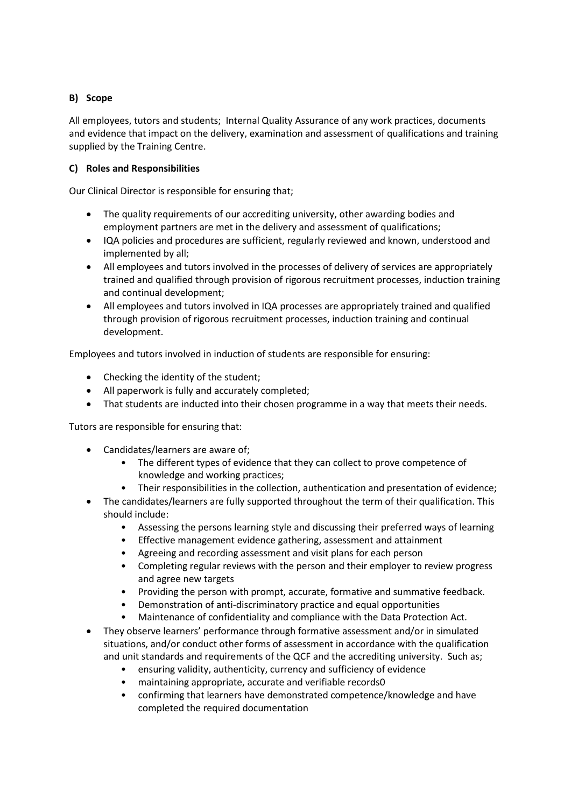# **B) Scope**

All employees, tutors and students; Internal Quality Assurance of any work practices, documents and evidence that impact on the delivery, examination and assessment of qualifications and training supplied by the Training Centre.

## **C) Roles and Responsibilities**

Our Clinical Director is responsible for ensuring that;

- The quality requirements of our accrediting university, other awarding bodies and employment partners are met in the delivery and assessment of qualifications;
- IQA policies and procedures are sufficient, regularly reviewed and known, understood and implemented by all;
- All employees and tutors involved in the processes of delivery of services are appropriately trained and qualified through provision of rigorous recruitment processes, induction training and continual development;
- All employees and tutors involved in IQA processes are appropriately trained and qualified through provision of rigorous recruitment processes, induction training and continual development.

Employees and tutors involved in induction of students are responsible for ensuring:

- Checking the identity of the student;
- All paperwork is fully and accurately completed;
- That students are inducted into their chosen programme in a way that meets their needs.

Tutors are responsible for ensuring that:

- Candidates/learners are aware of;
	- The different types of evidence that they can collect to prove competence of knowledge and working practices;
	- Their responsibilities in the collection, authentication and presentation of evidence;
- The candidates/learners are fully supported throughout the term of their qualification. This should include:
	- Assessing the persons learning style and discussing their preferred ways of learning
	- Effective management evidence gathering, assessment and attainment
	- Agreeing and recording assessment and visit plans for each person
	- Completing regular reviews with the person and their employer to review progress and agree new targets
	- Providing the person with prompt, accurate, formative and summative feedback.
	- Demonstration of anti-discriminatory practice and equal opportunities
	- Maintenance of confidentiality and compliance with the Data Protection Act.
- They observe learners' performance through formative assessment and/or in simulated situations, and/or conduct other forms of assessment in accordance with the qualification and unit standards and requirements of the QCF and the accrediting university. Such as;
	- ensuring validity, authenticity, currency and sufficiency of evidence
	- maintaining appropriate, accurate and verifiable records0
	- confirming that learners have demonstrated competence/knowledge and have completed the required documentation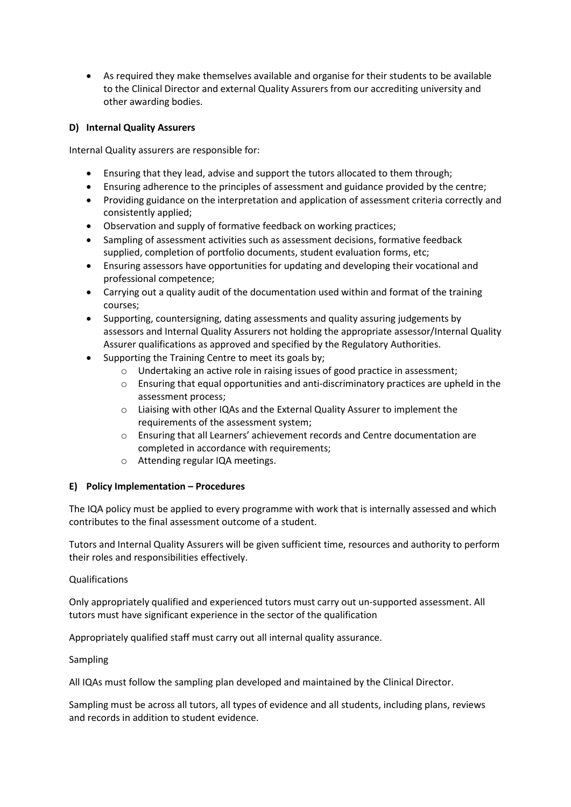• As required they make themselves available and organise for their students to be available to the Clinical Director and external Quality Assurers from our accrediting university and other awarding bodies.

## **D) Internal Quality Assurers**

Internal Quality assurers are responsible for:

- Ensuring that they lead, advise and support the tutors allocated to them through;
- Ensuring adherence to the principles of assessment and guidance provided by the centre;
- Providing guidance on the interpretation and application of assessment criteria correctly and consistently applied;
- Observation and supply of formative feedback on working practices;
- Sampling of assessment activities such as assessment decisions, formative feedback supplied, completion of portfolio documents, student evaluation forms, etc;
- Ensuring assessors have opportunities for updating and developing their vocational and professional competence;
- Carrying out a quality audit of the documentation used within and format of the training courses;
- Supporting, countersigning, dating assessments and quality assuring judgements by assessors and Internal Quality Assurers not holding the appropriate assessor/Internal Quality Assurer qualifications as approved and specified by the Regulatory Authorities.
- Supporting the Training Centre to meet its goals by;
	- o Undertaking an active role in raising issues of good practice in assessment;
	- o Ensuring that equal opportunities and anti‐discriminatory practices are upheld in the assessment process;
	- o Liaising with other IQAs and the External Quality Assurer to implement the requirements of the assessment system;
	- o Ensuring that all Learners' achievement records and Centre documentation are completed in accordance with requirements;
	- o Attending regular IQA meetings.

#### **E) Policy Implementation – Procedures**

The IQA policy must be applied to every programme with work that is internally assessed and which contributes to the final assessment outcome of a student.

Tutors and Internal Quality Assurers will be given sufficient time, resources and authority to perform their roles and responsibilities effectively.

#### Qualifications

Only appropriately qualified and experienced tutors must carry out un-supported assessment. All tutors must have significant experience in the sector of the qualification

Appropriately qualified staff must carry out all internal quality assurance.

Sampling

All IQAs must follow the sampling plan developed and maintained by the Clinical Director.

Sampling must be across all tutors, all types of evidence and all students, including plans, reviews and records in addition to student evidence.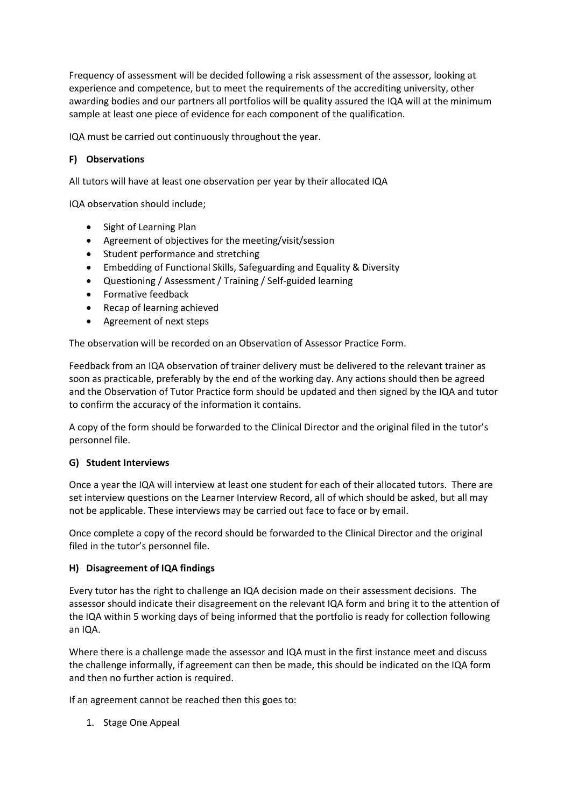Frequency of assessment will be decided following a risk assessment of the assessor, looking at experience and competence, but to meet the requirements of the accrediting university, other awarding bodies and our partners all portfolios will be quality assured the IQA will at the minimum sample at least one piece of evidence for each component of the qualification.

IQA must be carried out continuously throughout the year.

## **F) Observations**

All tutors will have at least one observation per year by their allocated IQA

IQA observation should include;

- Sight of Learning Plan
- Agreement of objectives for the meeting/visit/session
- Student performance and stretching
- Embedding of Functional Skills, Safeguarding and Equality & Diversity
- Questioning / Assessment / Training / Self-guided learning
- Formative feedback
- Recap of learning achieved
- Agreement of next steps

The observation will be recorded on an Observation of Assessor Practice Form.

Feedback from an IQA observation of trainer delivery must be delivered to the relevant trainer as soon as practicable, preferably by the end of the working day. Any actions should then be agreed and the Observation of Tutor Practice form should be updated and then signed by the IQA and tutor to confirm the accuracy of the information it contains.

A copy of the form should be forwarded to the Clinical Director and the original filed in the tutor's personnel file.

#### **G) Student Interviews**

Once a year the IQA will interview at least one student for each of their allocated tutors. There are set interview questions on the Learner Interview Record, all of which should be asked, but all may not be applicable. These interviews may be carried out face to face or by email.

Once complete a copy of the record should be forwarded to the Clinical Director and the original filed in the tutor's personnel file.

#### **H) Disagreement of IQA findings**

Every tutor has the right to challenge an IQA decision made on their assessment decisions. The assessor should indicate their disagreement on the relevant IQA form and bring it to the attention of the IQA within 5 working days of being informed that the portfolio is ready for collection following an IQA.

Where there is a challenge made the assessor and IQA must in the first instance meet and discuss the challenge informally, if agreement can then be made, this should be indicated on the IQA form and then no further action is required.

If an agreement cannot be reached then this goes to:

1. Stage One Appeal